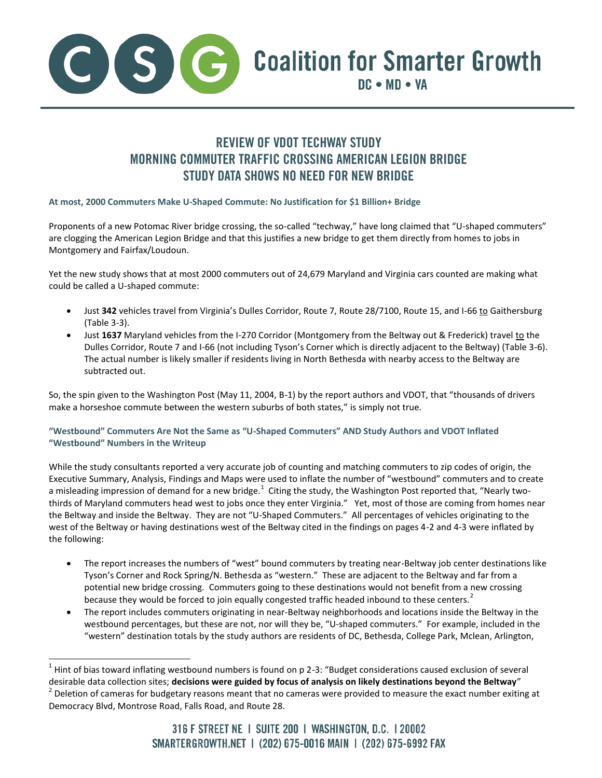

## **REVIEW OF VDOT TECHWAY STUDY MORNING COMMUTER TRAFFIC CROSSING AMERICAN LEGION BRIDGE STUDY DATA SHOWS NO NEED FOR NEW BRIDGE**

## **At most, 2000 Commuters Make U-Shaped Commute: No Justification for \$1 Billion+ Bridge**

Proponents of a new Potomac River bridge crossing, the so-called "techway," have long claimed that "U-shaped commuters" are clogging the American Legion Bridge and that this justifies a new bridge to get them directly from homes to jobs in Montgomery and Fairfax/Loudoun.

Yet the new study shows that at most 2000 commuters out of 24,679 Maryland and Virginia cars counted are making what could be called a U-shaped commute:

- Just **342** vehicles travel from Virginia's Dulles Corridor, Route 7, Route 28/7100, Route 15, and I-66 to Gaithersburg (Table 3-3).
- $\bullet$  Just 1637 Maryland vehicles from the I-270 Corridor (Montgomery from the Beltway out & Frederick) travel to the Dulles Corridor, Route 7 and I-66 (not including Tyson's Corner which is directly adjacent to the Beltway) (Table 3-6). The actual number is likely smaller if residents living in North Bethesda with nearby access to the Beltway are subtracted out.

So, the spin given to the Washington Post (May 11, 2004, B-1) by the report authors and VDOT, that "thousands of drivers make a horseshoe commute between the western suburbs of both states," is simply not true.

## **"Westbound" Commuters Are Not the Same as "U-Shaped Commuters" AND Study Authors and VDOT Inflated "Westbound" Numbers in the Writeup**

While the study consultants reported a very accurate job of counting and matching commuters to zip codes of origin, the Executive Summary, Analysis, Findings and Maps were used to inflate the number of "westbound" commuters and to create a misleading impression of demand for a new bridge. $^1$  Citing the study, the Washington Post reported that, "Nearly twothirds of Maryland commuters head west to jobs once they enter Virginia." Yet, most of those are coming from homes near the Beltway and inside the Beltway. They are not "U-Shaped Commuters." All percentages of vehicles originating to the west of the Beltway or having destinations west of the Beltway cited in the findings on pages 4-2 and 4-3 were inflated by the following:

- The report increases the numbers of "west" bound commuters by treating near-Beltway job center destinations like Tyson's Corner and Rock Spring/N. Bethesda as "western." These are adjacent to the Beltway and far from a potential new bridge crossing. Commuters going to these destinations would not benefit from a new crossing because they would be forced to join equally congested traffic headed inbound to these centers.<sup>2</sup>
- The report includes commuters originating in near-Beltway neighborhoods and locations inside the Beltway in the westbound percentages, but these are not, nor will they be, "U-shaped commuters." For example, included in the "western" destination totals by the study authors are residents of DC, Bethesda, College Park, Mclean, Arlington,

l

 $1$  Hint of bias toward inflating westbound numbers is found on p 2-3: "Budget considerations caused exclusion of several desirable data collection sites; **decisions were guided by focus of analysis on likely destinations beyond the Beltway**"  $^2$  Deletion of cameras for budgetary reasons meant that no cameras were provided to measure the exact number exiting at Democracy Blvd, Montrose Road, Falls Road, and Route 28.